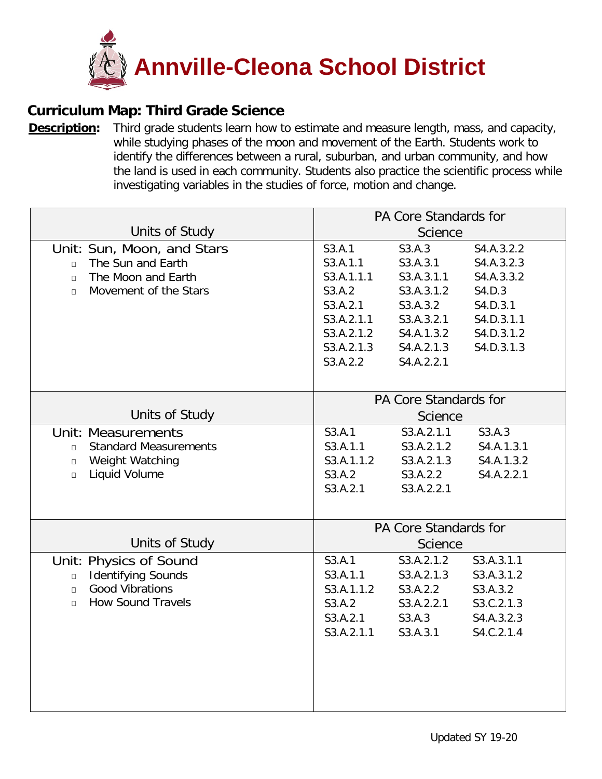

## **Curriculum Map: Third Grade Science**

**[Description:](https://ohsweb.cliu.org/EdInsightAnnvilleCleona/Form/Curriculum/CurriculumMapView.aspx?args=jZAC2VDJ5vsfUn6M5XufcoTAw4yGWZRnAwN39r3Jo8MwIVHEONQNvoThBA3GkgoEHalp1vB3pnd+XeXR7trH3Q==)** Third grade students learn how to estimate and measure length, mass, and capacity, while studying phases of the moon and movement of the Earth. Students work to identify the differences between a rural, suburban, and urban community, and how the land is used in each community. Students also practice the scientific process while investigating variables in the studies of force, motion and change.

|                                        | PA Core Standards for        |            |            |
|----------------------------------------|------------------------------|------------|------------|
| Units of Study                         | <b>Science</b>               |            |            |
| Unit: Sun, Moon, and Stars             | S3.A.1                       | S3.A.3     | S4.A.3.2.2 |
| The Sun and Earth<br>$\Box$            | S3.A.1.1                     | S3.A.3.1   | S4.A.3.2.3 |
| The Moon and Earth<br>$\Box$           | S3.A.1.1.1                   | S3.A.3.1.1 | S4.A.3.3.2 |
| Movement of the Stars<br>$\Box$        | S3.A.2                       | S3.A.3.1.2 | S4.D.3     |
|                                        | S3.A.2.1                     | S3.A.3.2   | S4.D.3.1   |
|                                        | S3.A.2.1.1                   | S3.A.3.2.1 | S4.D.3.1.1 |
|                                        | S3.A.2.1.2                   | S4.A.1.3.2 | S4.D.3.1.2 |
|                                        | S3.A.2.1.3                   | S4.A.2.1.3 | S4.D.3.1.3 |
|                                        | S3.A.2.2                     | S4.A.2.2.1 |            |
|                                        |                              |            |            |
|                                        | PA Core Standards for        |            |            |
| Units of Study                         | <b>Science</b>               |            |            |
| <b>Unit: Measurements</b>              | S3.A.1                       | S3.A.2.1.1 | S3.A.3     |
| <b>Standard Measurements</b><br>$\Box$ | S3.A.1.1                     | S3.A.2.1.2 | S4.A.1.3.1 |
| Weight Watching<br>$\Box$              | S3.A.1.1.2                   | S3.A.2.1.3 | S4.A.1.3.2 |
| Liquid Volume<br>$\Box$                | S3.A.2                       | S3.A.2.2   | S4.A.2.2.1 |
|                                        | S3.A.2.1                     | S3.A.2.2.1 |            |
|                                        |                              |            |            |
|                                        | <b>PA Core Standards for</b> |            |            |
| Units of Study                         | Science                      |            |            |
| Unit: Physics of Sound                 | S3.A.1                       | S3.A.2.1.2 | S3.A.3.1.1 |
| <b>Identifying Sounds</b><br>$\Box$    | S3.A.1.1                     | S3.A.2.1.3 | S3.A.3.1.2 |
| <b>Good Vibrations</b><br>$\Box$       | S3.A.1.1.2                   | S3.A.2.2   | S3.A.3.2   |
| <b>How Sound Travels</b><br>$\Box$     | S3.A.2                       | S3.A.2.2.1 | S3.C.2.1.3 |
|                                        | S3.A.2.1                     | S3.A.3     | S4.A.3.2.3 |
|                                        | S3.A.2.1.1                   | S3.A.3.1   | S4.C.2.1.4 |
|                                        |                              |            |            |
|                                        |                              |            |            |
|                                        |                              |            |            |
|                                        |                              |            |            |
|                                        |                              |            |            |